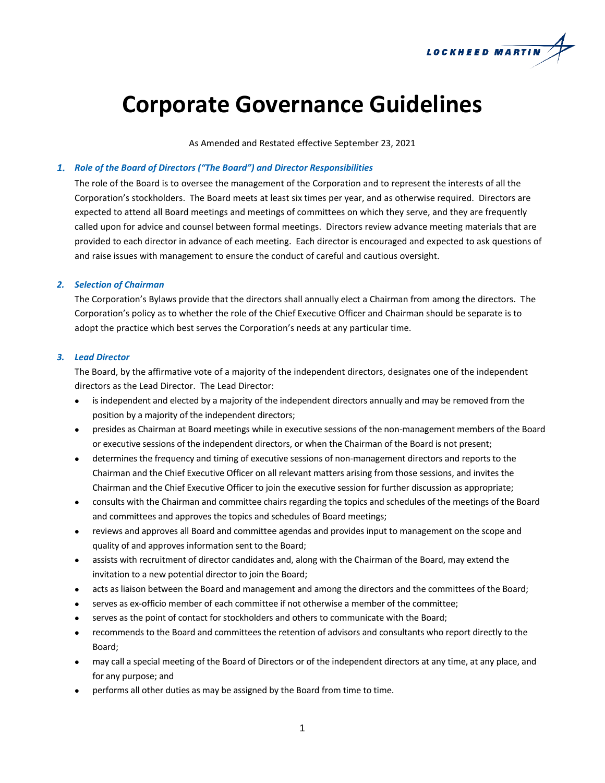

# **Corporate Governance Guidelines**

As Amended and Restated effective September 23, 2021

# *1. Role of the Board of Directors ("The Board") and Director Responsibilities*

The role of the Board is to oversee the management of the Corporation and to represent the interests of all the Corporation's stockholders. The Board meets at least six times per year, and as otherwise required. Directors are expected to attend all Board meetings and meetings of committees on which they serve, and they are frequently called upon for advice and counsel between formal meetings. Directors review advance meeting materials that are provided to each director in advance of each meeting. Each director is encouraged and expected to ask questions of and raise issues with management to ensure the conduct of careful and cautious oversight.

## *2. Selection of Chairman*

The Corporation's Bylaws provide that the directors shall annually elect a Chairman from among the directors. The Corporation's policy as to whether the role of the Chief Executive Officer and Chairman should be separate is to adopt the practice which best serves the Corporation's needs at any particular time.

# *3. Lead Director*

The Board, by the affirmative vote of a majority of the independent directors, designates one of the independent directors as the Lead Director. The Lead Director:

- is independent and elected by a majority of the independent directors annually and may be removed from the position by a majority of the independent directors;
- presides as Chairman at Board meetings while in executive sessions of the non-management members of the Board or executive sessions of the independent directors, or when the Chairman of the Board is not present;
- determines the frequency and timing of executive sessions of non-management directors and reports to the Chairman and the Chief Executive Officer on all relevant matters arising from those sessions, and invites the Chairman and the Chief Executive Officer to join the executive session for further discussion as appropriate;
- consults with the Chairman and committee chairs regarding the topics and schedules of the meetings of the Board and committees and approves the topics and schedules of Board meetings;
- reviews and approves all Board and committee agendas and provides input to management on the scope and quality of and approves information sent to the Board;
- assists with recruitment of director candidates and, along with the Chairman of the Board, may extend the invitation to a new potential director to join the Board;
- acts as liaison between the Board and management and among the directors and the committees of the Board;
- serves as ex-officio member of each committee if not otherwise a member of the committee;
- serves as the point of contact for stockholders and others to communicate with the Board;
- recommends to the Board and committees the retention of advisors and consultants who report directly to the Board;
- may call a special meeting of the Board of Directors or of the independent directors at any time, at any place, and for any purpose; and
- performs all other duties as may be assigned by the Board from time to time.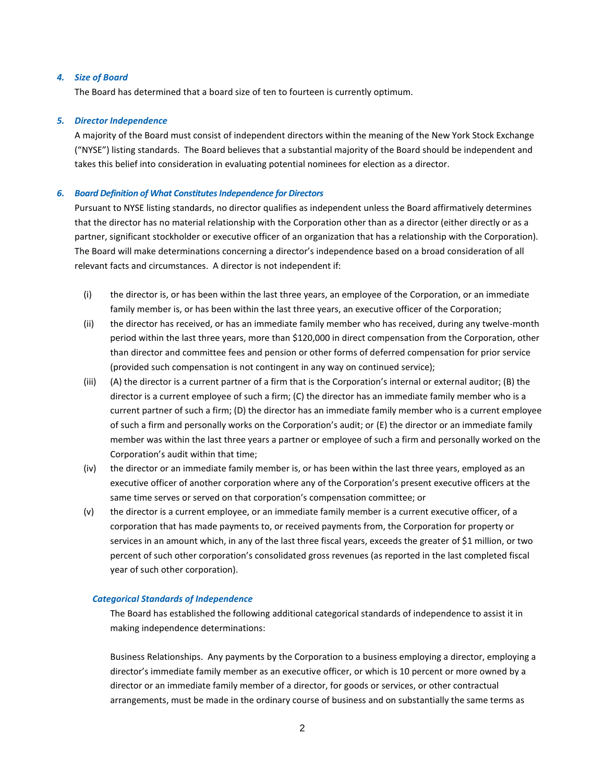# *4. Size of Board*

The Board has determined that a board size of ten to fourteen is currently optimum.

### *5. Director Independence*

A majority of the Board must consist of independent directors within the meaning of the New York Stock Exchange ("NYSE") listing standards. The Board believes that a substantial majority of the Board should be independent and takes this belief into consideration in evaluating potential nominees for election as a director.

## *6. Board Definition of What Constitutes Independence for Directors*

Pursuant to NYSE listing standards, no director qualifies as independent unless the Board affirmatively determines that the director has no material relationship with the Corporation other than as a director (either directly or as a partner, significant stockholder or executive officer of an organization that has a relationship with the Corporation). The Board will make determinations concerning a director's independence based on a broad consideration of all relevant facts and circumstances. A director is not independent if:

- (i) the director is, or has been within the last three years, an employee of the Corporation, or an immediate family member is, or has been within the last three years, an executive officer of the Corporation;
- (ii) the director has received, or has an immediate family member who has received, during any twelve-month period within the last three years, more than \$120,000 in direct compensation from the Corporation, other than director and committee fees and pension or other forms of deferred compensation for prior service (provided such compensation is not contingent in any way on continued service);
- (iii) (A) the director is a current partner of a firm that is the Corporation's internal or external auditor; (B) the director is a current employee of such a firm; (C) the director has an immediate family member who is a current partner of such a firm; (D) the director has an immediate family member who is a current employee of such a firm and personally works on the Corporation's audit; or (E) the director or an immediate family member was within the last three years a partner or employee of such a firm and personally worked on the Corporation's audit within that time;
- (iv) the director or an immediate family member is, or has been within the last three years, employed as an executive officer of another corporation where any of the Corporation's present executive officers at the same time serves or served on that corporation's compensation committee; or
- (v) the director is a current employee, or an immediate family member is a current executive officer, of a corporation that has made payments to, or received payments from, the Corporation for property or services in an amount which, in any of the last three fiscal years, exceeds the greater of \$1 million, or two percent of such other corporation's consolidated gross revenues (as reported in the last completed fiscal year of such other corporation).

# *Categorical Standards of Independence*

The Board has established the following additional categorical standards of independence to assist it in making independence determinations:

Business Relationships. Any payments by the Corporation to a business employing a director, employing a director's immediate family member as an executive officer, or which is 10 percent or more owned by a director or an immediate family member of a director, for goods or services, or other contractual arrangements, must be made in the ordinary course of business and on substantially the same terms as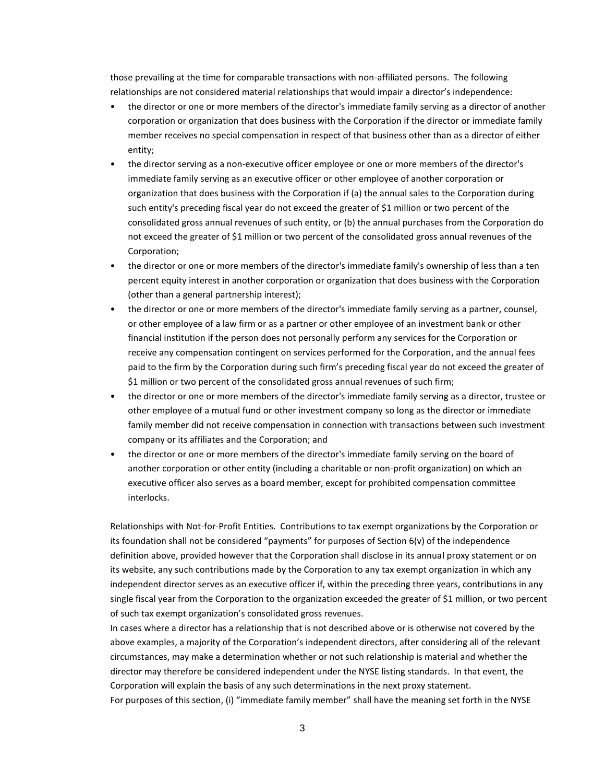those prevailing at the time for comparable transactions with non-affiliated persons. The following relationships are not considered material relationships that would impair a director's independence:

- the director or one or more members of the director's immediate family serving as a director of another corporation or organization that does business with the Corporation if the director or immediate family member receives no special compensation in respect of that business other than as a director of either entity;
- the director serving as a non-executive officer employee or one or more members of the director's immediate family serving as an executive officer or other employee of another corporation or organization that does business with the Corporation if (a) the annual sales to the Corporation during such entity's preceding fiscal year do not exceed the greater of \$1 million or two percent of the consolidated gross annual revenues of such entity, or (b) the annual purchases from the Corporation do not exceed the greater of \$1 million or two percent of the consolidated gross annual revenues of the Corporation;
- the director or one or more members of the director's immediate family's ownership of less than a ten percent equity interest in another corporation or organization that does business with the Corporation (other than a general partnership interest);
- the director or one or more members of the director's immediate family serving as a partner, counsel, or other employee of a law firm or as a partner or other employee of an investment bank or other financial institution if the person does not personally perform any services for the Corporation or receive any compensation contingent on services performed for the Corporation, and the annual fees paid to the firm by the Corporation during such firm's preceding fiscal year do not exceed the greater of \$1 million or two percent of the consolidated gross annual revenues of such firm;
- the director or one or more members of the director's immediate family serving as a director, trustee or other employee of a mutual fund or other investment company so long as the director or immediate family member did not receive compensation in connection with transactions between such investment company or its affiliates and the Corporation; and
- the director or one or more members of the director's immediate family serving on the board of another corporation or other entity (including a charitable or non-profit organization) on which an executive officer also serves as a board member, except for prohibited compensation committee interlocks.

Relationships with Not-for-Profit Entities. Contributions to tax exempt organizations by the Corporation or its foundation shall not be considered "payments" for purposes of Section 6(v) of the independence definition above, provided however that the Corporation shall disclose in its annual proxy statement or on its website, any such contributions made by the Corporation to any tax exempt organization in which any independent director serves as an executive officer if, within the preceding three years, contributions in any single fiscal year from the Corporation to the organization exceeded the greater of \$1 million, or two percent of such tax exempt organization's consolidated gross revenues.

In cases where a director has a relationship that is not described above or is otherwise not covered by the above examples, a majority of the Corporation's independent directors, after considering all of the relevant circumstances, may make a determination whether or not such relationship is material and whether the director may therefore be considered independent under the NYSE listing standards. In that event, the Corporation will explain the basis of any such determinations in the next proxy statement. For purposes of this section, (i) "immediate family member" shall have the meaning set forth in the NYSE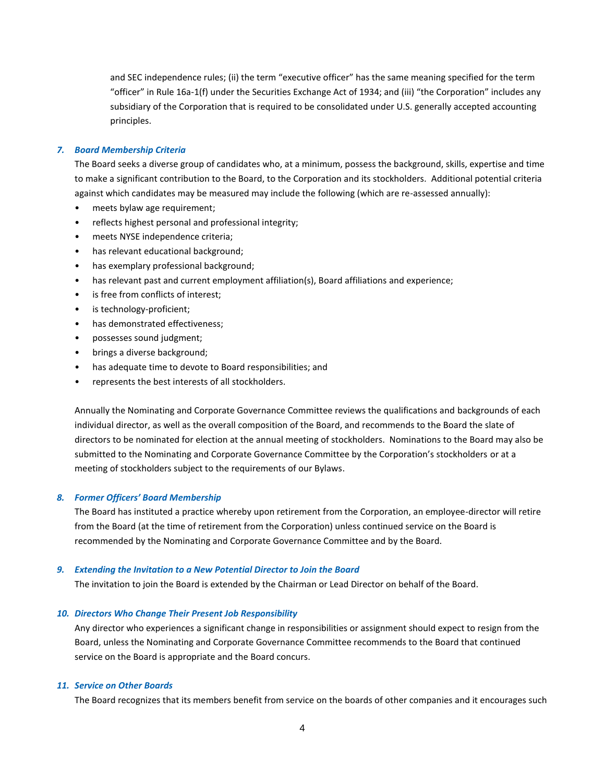and SEC independence rules; (ii) the term "executive officer" has the same meaning specified for the term "officer" in Rule 16a-1(f) under the Securities Exchange Act of 1934; and (iii) "the Corporation" includes any subsidiary of the Corporation that is required to be consolidated under U.S. generally accepted accounting principles.

#### *7. Board Membership Criteria*

The Board seeks a diverse group of candidates who, at a minimum, possess the background, skills, expertise and time to make a significant contribution to the Board, to the Corporation and its stockholders. Additional potential criteria against which candidates may be measured may include the following (which are re-assessed annually):

- meets bylaw age requirement;
- reflects highest personal and professional integrity;
- meets NYSE independence criteria;
- has relevant educational background;
- has exemplary professional background;
- has relevant past and current employment affiliation(s), Board affiliations and experience;
- is free from conflicts of interest;
- is technology-proficient;
- has demonstrated effectiveness;
- possesses sound judgment;
- brings a diverse background;
- has adequate time to devote to Board responsibilities; and
- represents the best interests of all stockholders.

Annually the Nominating and Corporate Governance Committee reviews the qualifications and backgrounds of each individual director, as well as the overall composition of the Board, and recommends to the Board the slate of directors to be nominated for election at the annual meeting of stockholders. Nominations to the Board may also be submitted to the Nominating and Corporate Governance Committee by the Corporation's stockholders or at a meeting of stockholders subject to the requirements of our Bylaws.

# *8. Former Officers' Board Membership*

The Board has instituted a practice whereby upon retirement from the Corporation, an employee-director will retire from the Board (at the time of retirement from the Corporation) unless continued service on the Board is recommended by the Nominating and Corporate Governance Committee and by the Board.

## *9. Extending the Invitation to a New Potential Director to Join the Board*

The invitation to join the Board is extended by the Chairman or Lead Director on behalf of the Board.

# *10. Directors Who Change Their Present Job Responsibility*

Any director who experiences a significant change in responsibilities or assignment should expect to resign from the Board, unless the Nominating and Corporate Governance Committee recommends to the Board that continued service on the Board is appropriate and the Board concurs.

## *11. Service on Other Boards*

The Board recognizes that its members benefit from service on the boards of other companies and it encourages such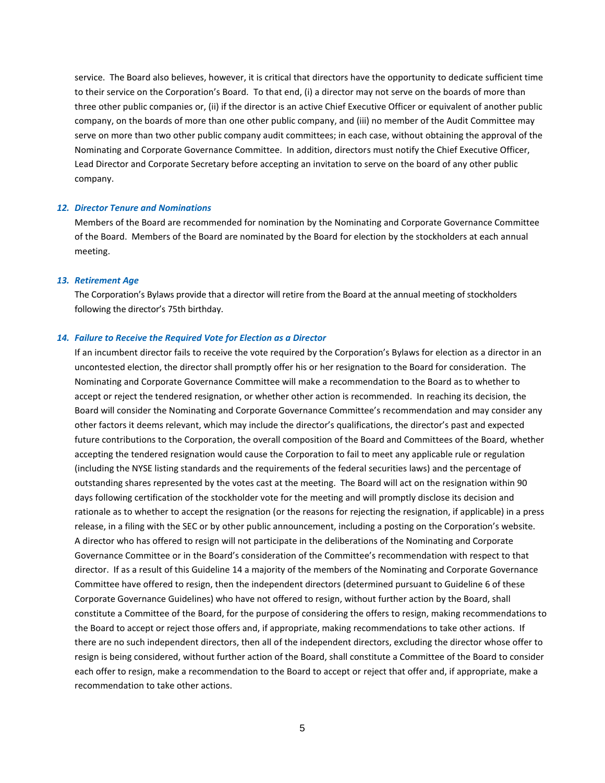service. The Board also believes, however, it is critical that directors have the opportunity to dedicate sufficient time to their service on the Corporation's Board. To that end, (i) a director may not serve on the boards of more than three other public companies or, (ii) if the director is an active Chief Executive Officer or equivalent of another public company, on the boards of more than one other public company, and (iii) no member of the Audit Committee may serve on more than two other public company audit committees; in each case, without obtaining the approval of the Nominating and Corporate Governance Committee. In addition, directors must notify the Chief Executive Officer, Lead Director and Corporate Secretary before accepting an invitation to serve on the board of any other public company.

#### *12. Director Tenure and Nominations*

Members of the Board are recommended for nomination by the Nominating and Corporate Governance Committee of the Board. Members of the Board are nominated by the Board for election by the stockholders at each annual meeting.

#### *13. Retirement Age*

The Corporation's Bylaws provide that a director will retire from the Board at the annual meeting of stockholders following the director's 75th birthday.

### *14. Failure to Receive the Required Vote for Election as a Director*

If an incumbent director fails to receive the vote required by the Corporation's Bylaws for election as a director in an uncontested election, the director shall promptly offer his or her resignation to the Board for consideration. The Nominating and Corporate Governance Committee will make a recommendation to the Board as to whether to accept or reject the tendered resignation, or whether other action is recommended. In reaching its decision, the Board will consider the Nominating and Corporate Governance Committee's recommendation and may consider any other factors it deems relevant, which may include the director's qualifications, the director's past and expected future contributions to the Corporation, the overall composition of the Board and Committees of the Board, whether accepting the tendered resignation would cause the Corporation to fail to meet any applicable rule or regulation (including the NYSE listing standards and the requirements of the federal securities laws) and the percentage of outstanding shares represented by the votes cast at the meeting. The Board will act on the resignation within 90 days following certification of the stockholder vote for the meeting and will promptly disclose its decision and rationale as to whether to accept the resignation (or the reasons for rejecting the resignation, if applicable) in a press release, in a filing with the SEC or by other public announcement, including a posting on the Corporation's website. A director who has offered to resign will not participate in the deliberations of the Nominating and Corporate Governance Committee or in the Board's consideration of the Committee's recommendation with respect to that director. If as a result of this Guideline 14 a majority of the members of the Nominating and Corporate Governance Committee have offered to resign, then the independent directors (determined pursuant to Guideline 6 of these Corporate Governance Guidelines) who have not offered to resign, without further action by the Board, shall constitute a Committee of the Board, for the purpose of considering the offers to resign, making recommendations to the Board to accept or reject those offers and, if appropriate, making recommendations to take other actions. If there are no such independent directors, then all of the independent directors, excluding the director whose offer to resign is being considered, without further action of the Board, shall constitute a Committee of the Board to consider each offer to resign, make a recommendation to the Board to accept or reject that offer and, if appropriate, make a recommendation to take other actions.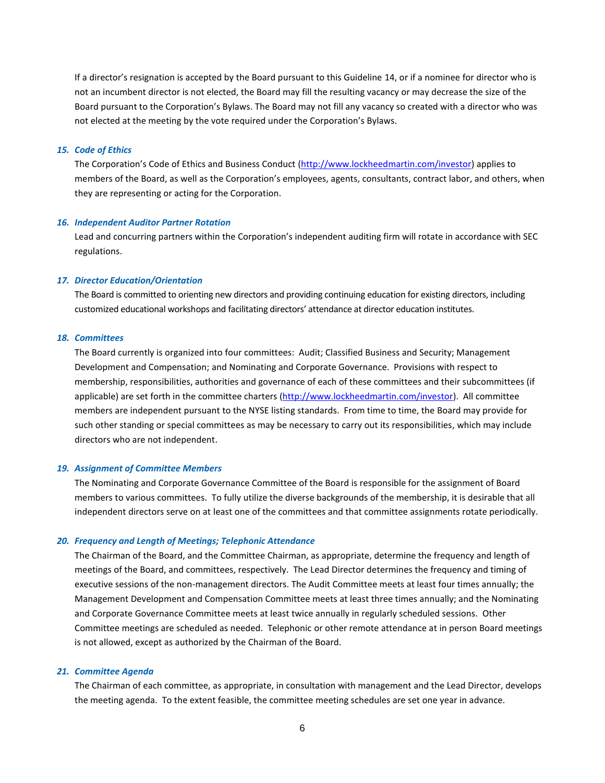If a director's resignation is accepted by the Board pursuant to this Guideline 14, or if a nominee for director who is not an incumbent director is not elected, the Board may fill the resulting vacancy or may decrease the size of the Board pursuant to the Corporation's Bylaws. The Board may not fill any vacancy so created with a director who was not elected at the meeting by the vote required under the Corporation's Bylaws.

## *15. Code of Ethics*

The Corporation's Code of Ethics and Business Conduct [\(http://www.lockheedmartin.com/investor\)](http://www.lockheedmartin.com/investor) applies to members of the Board, as well as the Corporation's employees, agents, consultants, contract labor, and others, when they are representing or acting for the Corporation.

## *16. Independent Auditor Partner Rotation*

Lead and concurring partners within the Corporation's independent auditing firm will rotate in accordance with SEC regulations.

#### *17. Director Education/Orientation*

The Board is committed to orienting new directors and providing continuing education for existing directors, including customized educational workshops and facilitating directors' attendance at director education institutes.

# *18. Committees*

The Board currently is organized into four committees: Audit; Classified Business and Security; Management Development and Compensation; and Nominating and Corporate Governance. Provisions with respect to membership, responsibilities, authorities and governance of each of these committees and their subcommittees (if applicable) are set forth in the committee charters [\(http://www.lockheedmartin.com/investor\)](http://www.lockheedmartin.com/investor). All committee members are independent pursuant to the NYSE listing standards. From time to time, the Board may provide for such other standing or special committees as may be necessary to carry out its responsibilities, which may include directors who are not independent.

## *19. Assignment of Committee Members*

The Nominating and Corporate Governance Committee of the Board is responsible for the assignment of Board members to various committees. To fully utilize the diverse backgrounds of the membership, it is desirable that all independent directors serve on at least one of the committees and that committee assignments rotate periodically.

## *20. Frequency and Length of Meetings; Telephonic Attendance*

The Chairman of the Board, and the Committee Chairman, as appropriate, determine the frequency and length of meetings of the Board, and committees, respectively. The Lead Director determines the frequency and timing of executive sessions of the non-management directors. The Audit Committee meets at least four times annually; the Management Development and Compensation Committee meets at least three times annually; and the Nominating and Corporate Governance Committee meets at least twice annually in regularly scheduled sessions. Other Committee meetings are scheduled as needed. Telephonic or other remote attendance at in person Board meetings is not allowed, except as authorized by the Chairman of the Board.

## *21. Committee Agenda*

The Chairman of each committee, as appropriate, in consultation with management and the Lead Director, develops the meeting agenda. To the extent feasible, the committee meeting schedules are set one year in advance.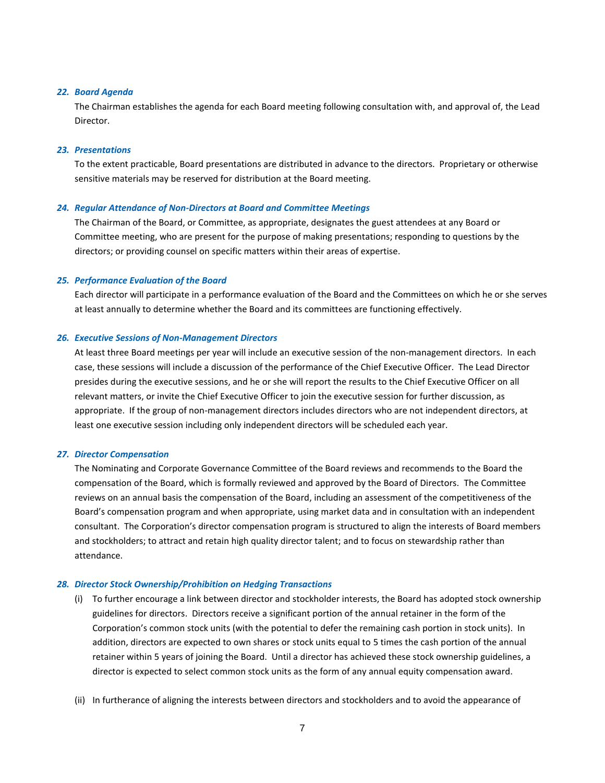## *22. Board Agenda*

The Chairman establishes the agenda for each Board meeting following consultation with, and approval of, the Lead Director.

## *23. Presentations*

To the extent practicable, Board presentations are distributed in advance to the directors. Proprietary or otherwise sensitive materials may be reserved for distribution at the Board meeting.

## *24. Regular Attendance of Non-Directors at Board and Committee Meetings*

The Chairman of the Board, or Committee, as appropriate, designates the guest attendees at any Board or Committee meeting, who are present for the purpose of making presentations; responding to questions by the directors; or providing counsel on specific matters within their areas of expertise.

# *25. Performance Evaluation of the Board*

Each director will participate in a performance evaluation of the Board and the Committees on which he or she serves at least annually to determine whether the Board and its committees are functioning effectively.

## *26. Executive Sessions of Non-Management Directors*

At least three Board meetings per year will include an executive session of the non-management directors. In each case, these sessions will include a discussion of the performance of the Chief Executive Officer. The Lead Director presides during the executive sessions, and he or she will report the results to the Chief Executive Officer on all relevant matters, or invite the Chief Executive Officer to join the executive session for further discussion, as appropriate. If the group of non-management directors includes directors who are not independent directors, at least one executive session including only independent directors will be scheduled each year.

#### *27. Director Compensation*

The Nominating and Corporate Governance Committee of the Board reviews and recommends to the Board the compensation of the Board, which is formally reviewed and approved by the Board of Directors. The Committee reviews on an annual basis the compensation of the Board, including an assessment of the competitiveness of the Board's compensation program and when appropriate, using market data and in consultation with an independent consultant. The Corporation's director compensation program is structured to align the interests of Board members and stockholders; to attract and retain high quality director talent; and to focus on stewardship rather than attendance.

## *28. Director Stock Ownership/Prohibition on Hedging Transactions*

- (i) To further encourage a link between director and stockholder interests, the Board has adopted stock ownership guidelines for directors. Directors receive a significant portion of the annual retainer in the form of the Corporation's common stock units (with the potential to defer the remaining cash portion in stock units). In addition, directors are expected to own shares or stock units equal to 5 times the cash portion of the annual retainer within 5 years of joining the Board. Until a director has achieved these stock ownership guidelines, a director is expected to select common stock units as the form of any annual equity compensation award.
- (ii) In furtherance of aligning the interests between directors and stockholders and to avoid the appearance of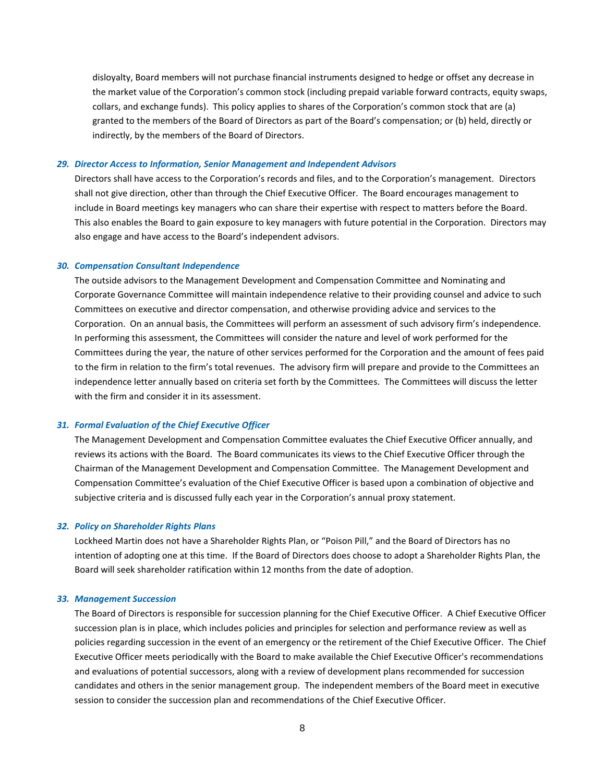disloyalty, Board members will not purchase financial instruments designed to hedge or offset any decrease in the market value of the Corporation's common stock (including prepaid variable forward contracts, equity swaps, collars, and exchange funds). This policy applies to shares of the Corporation's common stock that are (a) granted to the members of the Board of Directors as part of the Board's compensation; or (b) held, directly or indirectly, by the members of the Board of Directors.

#### *29. Director Access to Information, Senior Management and Independent Advisors*

Directors shall have access to the Corporation's records and files, and to the Corporation's management. Directors shall not give direction, other than through the Chief Executive Officer. The Board encourages management to include in Board meetings key managers who can share their expertise with respect to matters before the Board. This also enables the Board to gain exposure to key managers with future potential in the Corporation. Directors may also engage and have access to the Board's independent advisors.

## *30. Compensation Consultant Independence*

The outside advisors to the Management Development and Compensation Committee and Nominating and Corporate Governance Committee will maintain independence relative to their providing counsel and advice to such Committees on executive and director compensation, and otherwise providing advice and services to the Corporation. On an annual basis, the Committees will perform an assessment of such advisory firm's independence. In performing this assessment, the Committees will consider the nature and level of work performed for the Committees during the year, the nature of other services performed for the Corporation and the amount of fees paid to the firm in relation to the firm's total revenues. The advisory firm will prepare and provide to the Committees an independence letter annually based on criteria set forth by the Committees. The Committees will discuss the letter with the firm and consider it in its assessment.

# *31. Formal Evaluation of the Chief Executive Officer*

The Management Development and Compensation Committee evaluates the Chief Executive Officer annually, and reviews its actions with the Board. The Board communicates its views to the Chief Executive Officer through the Chairman of the Management Development and Compensation Committee. The Management Development and Compensation Committee's evaluation of the Chief Executive Officer is based upon a combination of objective and subjective criteria and is discussed fully each year in the Corporation's annual proxy statement.

#### *32. Policy on Shareholder Rights Plans*

Lockheed Martin does not have a Shareholder Rights Plan, or "Poison Pill," and the Board of Directors has no intention of adopting one at this time. If the Board of Directors does choose to adopt a Shareholder Rights Plan, the Board will seek shareholder ratification within 12 months from the date of adoption.

## *33. Management Succession*

The Board of Directors is responsible for succession planning for the Chief Executive Officer. A Chief Executive Officer succession plan is in place, which includes policies and principles for selection and performance review as well as policies regarding succession in the event of an emergency or the retirement of the Chief Executive Officer. The Chief Executive Officer meets periodically with the Board to make available the Chief Executive Officer's recommendations and evaluations of potential successors, along with a review of development plans recommended for succession candidates and others in the senior management group. The independent members of the Board meet in executive session to consider the succession plan and recommendations of the Chief Executive Officer.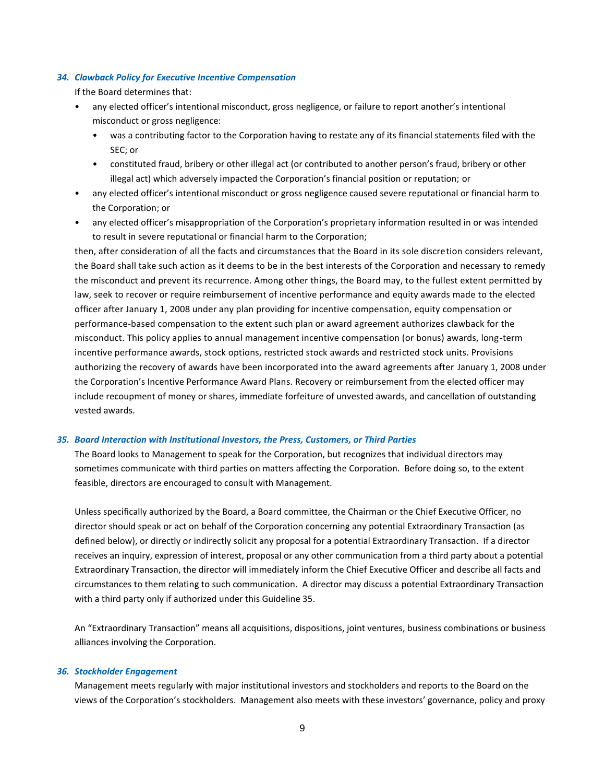## *34. Clawback Policy for Executive Incentive Compensation*

If the Board determines that:

- any elected officer's intentional misconduct, gross negligence, or failure to report another's intentional misconduct or gross negligence:
	- was a contributing factor to the Corporation having to restate any of its financial statements filed with the SEC; or
	- constituted fraud, bribery or other illegal act (or contributed to another person's fraud, bribery or other illegal act) which adversely impacted the Corporation's financial position or reputation; or
- any elected officer's intentional misconduct or gross negligence caused severe reputational or financial harm to the Corporation; or
- any elected officer's misappropriation of the Corporation's proprietary information resulted in or was intended to result in severe reputational or financial harm to the Corporation;

then, after consideration of all the facts and circumstances that the Board in its sole discretion considers relevant, the Board shall take such action as it deems to be in the best interests of the Corporation and necessary to remedy the misconduct and prevent its recurrence. Among other things, the Board may, to the fullest extent permitted by law, seek to recover or require reimbursement of incentive performance and equity awards made to the elected officer after January 1, 2008 under any plan providing for incentive compensation, equity compensation or performance-based compensation to the extent such plan or award agreement authorizes clawback for the misconduct. This policy applies to annual management incentive compensation (or bonus) awards, long-term incentive performance awards, stock options, restricted stock awards and restricted stock units. Provisions authorizing the recovery of awards have been incorporated into the award agreements after January 1, 2008 under the Corporation's Incentive Performance Award Plans. Recovery or reimbursement from the elected officer may include recoupment of money or shares, immediate forfeiture of unvested awards, and cancellation of outstanding vested awards.

# *35. Board Interaction with Institutional Investors, the Press, Customers, or Third Parties*

The Board looks to Management to speak for the Corporation, but recognizes that individual directors may sometimes communicate with third parties on matters affecting the Corporation. Before doing so, to the extent feasible, directors are encouraged to consult with Management.

Unless specifically authorized by the Board, a Board committee, the Chairman or the Chief Executive Officer, no director should speak or act on behalf of the Corporation concerning any potential Extraordinary Transaction (as defined below), or directly or indirectly solicit any proposal for a potential Extraordinary Transaction. If a director receives an inquiry, expression of interest, proposal or any other communication from a third party about a potential Extraordinary Transaction, the director will immediately inform the Chief Executive Officer and describe all facts and circumstances to them relating to such communication. A director may discuss a potential Extraordinary Transaction with a third party only if authorized under this Guideline 35.

An "Extraordinary Transaction" means all acquisitions, dispositions, joint ventures, business combinations or business alliances involving the Corporation.

## *36. Stockholder Engagement*

Management meets regularly with major institutional investors and stockholders and reports to the Board on the views of the Corporation's stockholders. Management also meets with these investors' governance, policy and proxy